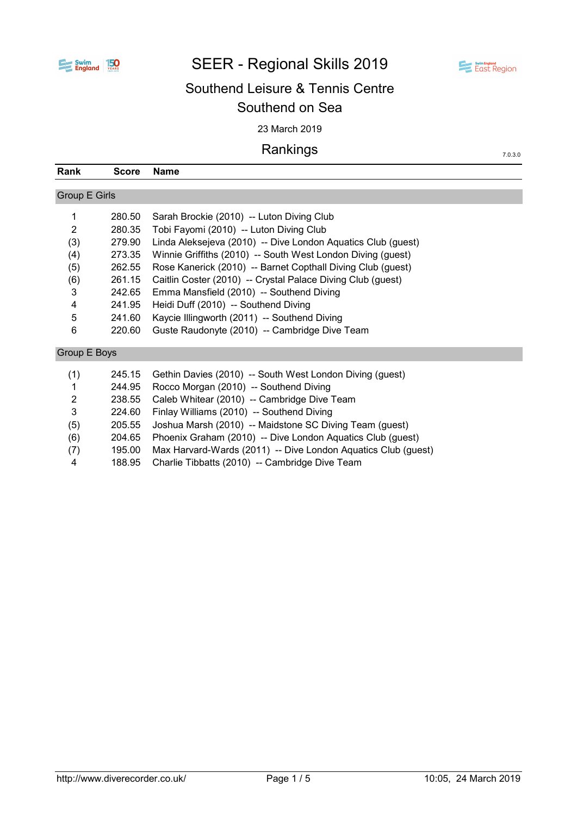

# SEER - Regional Skills 2019



7.0.3.0

# Southend Leisure & Tennis Centre Southend on Sea

23 March 2019

## Rankings

| Rank                 | <b>Score</b> | Name                                                          |
|----------------------|--------------|---------------------------------------------------------------|
|                      |              |                                                               |
| <b>Group E Girls</b> |              |                                                               |
| 1                    | 280.50       | Sarah Brockie (2010) -- Luton Diving Club                     |
| $\overline{2}$       | 280.35       | Tobi Fayomi (2010) -- Luton Diving Club                       |
| (3)                  | 279.90       | Linda Aleksejeva (2010) -- Dive London Aquatics Club (guest)  |
| (4)                  | 273.35       | Winnie Griffiths (2010) -- South West London Diving (guest)   |
| (5)                  | 262.55       | Rose Kanerick (2010) -- Barnet Copthall Diving Club (guest)   |
| (6)                  | 261.15       | Caitlin Coster (2010) -- Crystal Palace Diving Club (guest)   |
| 3                    | 242.65       | Emma Mansfield (2010) -- Southend Diving                      |
| 4                    | 241.95       | Heidi Duff (2010) -- Southend Diving                          |
| 5                    | 241.60       | Kaycie Illingworth (2011) -- Southend Diving                  |
| 6                    | 220.60       | Guste Raudonyte (2010) -- Cambridge Dive Team                 |
| Group E Boys         |              |                                                               |
| (1)                  | 245.15       | Gethin Davies (2010) -- South West London Diving (guest)      |
| 1                    | 244.95       | Rocco Morgan (2010) -- Southend Diving                        |
| $\overline{2}$       | 238.55       | Caleb Whitear (2010) -- Cambridge Dive Team                   |
| 3                    | 224.60       | Finlay Williams (2010) -- Southend Diving                     |
| (5)                  | 205.55       | Joshua Marsh (2010) -- Maidstone SC Diving Team (guest)       |
| (6)                  | 204.65       | Phoenix Graham (2010) -- Dive London Aquatics Club (guest)    |
| (7)                  | 195.00       | Max Harvard-Wards (2011) -- Dive London Aquatics Club (guest) |

4 188.95 Charlie Tibbatts (2010) -- Cambridge Dive Team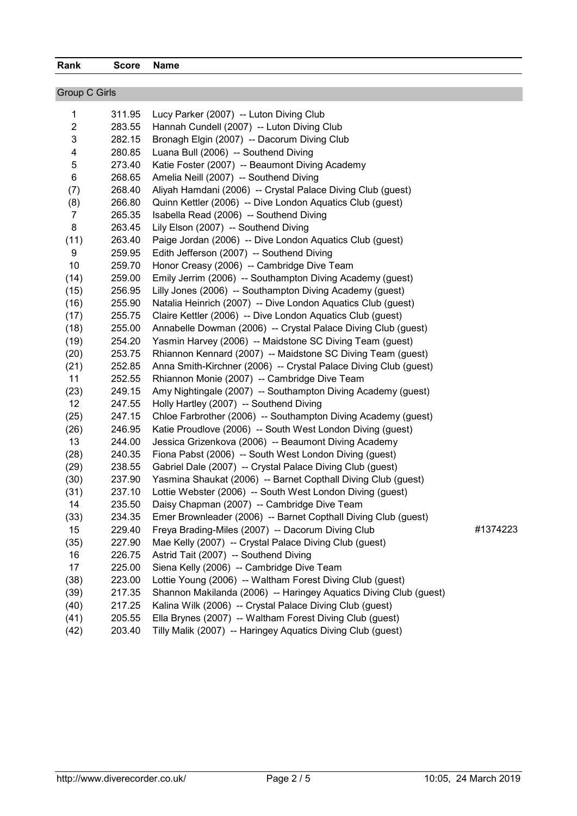| <b>Group C Girls</b> |        |                                                                   |          |
|----------------------|--------|-------------------------------------------------------------------|----------|
| $\mathbf{1}$         | 311.95 | Lucy Parker (2007) -- Luton Diving Club                           |          |
| $\overline{c}$       | 283.55 | Hannah Cundell (2007) -- Luton Diving Club                        |          |
| 3                    | 282.15 | Bronagh Elgin (2007) -- Dacorum Diving Club                       |          |
| 4                    | 280.85 | Luana Bull (2006) -- Southend Diving                              |          |
| 5                    | 273.40 | Katie Foster (2007) -- Beaumont Diving Academy                    |          |
| 6                    | 268.65 | Amelia Neill (2007) -- Southend Diving                            |          |
| (7)                  | 268.40 | Aliyah Hamdani (2006) -- Crystal Palace Diving Club (guest)       |          |
| (8)                  | 266.80 | Quinn Kettler (2006) -- Dive London Aquatics Club (guest)         |          |
| $\overline{7}$       | 265.35 | Isabella Read (2006) -- Southend Diving                           |          |
| 8                    | 263.45 | Lily Elson (2007) -- Southend Diving                              |          |
| (11)                 | 263.40 | Paige Jordan (2006) -- Dive London Aquatics Club (guest)          |          |
| 9                    | 259.95 | Edith Jefferson (2007) -- Southend Diving                         |          |
| 10                   | 259.70 | Honor Creasy (2006) -- Cambridge Dive Team                        |          |
| (14)                 | 259.00 | Emily Jerrim (2006) -- Southampton Diving Academy (guest)         |          |
| (15)                 | 256.95 | Lilly Jones (2006) -- Southampton Diving Academy (guest)          |          |
| (16)                 | 255.90 | Natalia Heinrich (2007) -- Dive London Aquatics Club (guest)      |          |
| (17)                 | 255.75 | Claire Kettler (2006) -- Dive London Aquatics Club (guest)        |          |
| (18)                 | 255.00 | Annabelle Dowman (2006) -- Crystal Palace Diving Club (guest)     |          |
| (19)                 | 254.20 | Yasmin Harvey (2006) -- Maidstone SC Diving Team (guest)          |          |
| (20)                 | 253.75 | Rhiannon Kennard (2007) -- Maidstone SC Diving Team (guest)       |          |
| (21)                 | 252.85 | Anna Smith-Kirchner (2006) -- Crystal Palace Diving Club (guest)  |          |
| 11                   | 252.55 | Rhiannon Monie (2007) -- Cambridge Dive Team                      |          |
| (23)                 | 249.15 | Amy Nightingale (2007) -- Southampton Diving Academy (guest)      |          |
| 12 <sup>°</sup>      | 247.55 | Holly Hartley (2007) -- Southend Diving                           |          |
| (25)                 | 247.15 | Chloe Farbrother (2006) -- Southampton Diving Academy (guest)     |          |
| (26)                 | 246.95 | Katie Proudlove (2006) -- South West London Diving (guest)        |          |
| 13                   | 244.00 | Jessica Grizenkova (2006) -- Beaumont Diving Academy              |          |
| (28)                 | 240.35 | Fiona Pabst (2006) -- South West London Diving (guest)            |          |
| (29)                 | 238.55 | Gabriel Dale (2007) -- Crystal Palace Diving Club (guest)         |          |
| (30)                 | 237.90 | Yasmina Shaukat (2006) -- Barnet Copthall Diving Club (guest)     |          |
| (31)                 | 237.10 | Lottie Webster (2006) -- South West London Diving (guest)         |          |
| 14                   | 235.50 | Daisy Chapman (2007) -- Cambridge Dive Team                       |          |
| (33)                 | 234.35 | Emer Brownleader (2006) -- Barnet Copthall Diving Club (guest)    |          |
| 15                   | 229.40 | Freya Brading-Miles (2007) -- Dacorum Diving Club                 | #1374223 |
| (35)                 | 227.90 | Mae Kelly (2007) -- Crystal Palace Diving Club (guest)            |          |
| 16                   | 226.75 | Astrid Tait (2007) -- Southend Diving                             |          |
| 17                   | 225.00 | Siena Kelly (2006) -- Cambridge Dive Team                         |          |
| (38)                 | 223.00 | Lottie Young (2006) -- Waltham Forest Diving Club (guest)         |          |
| (39)                 | 217.35 | Shannon Makilanda (2006) -- Haringey Aquatics Diving Club (guest) |          |
| (40)                 | 217.25 | Kalina Wilk (2006) -- Crystal Palace Diving Club (guest)          |          |
| (41)                 | 205.55 | Ella Brynes (2007) -- Waltham Forest Diving Club (guest)          |          |
| (42)                 | 203.40 | Tilly Malik (2007) -- Haringey Aquatics Diving Club (guest)       |          |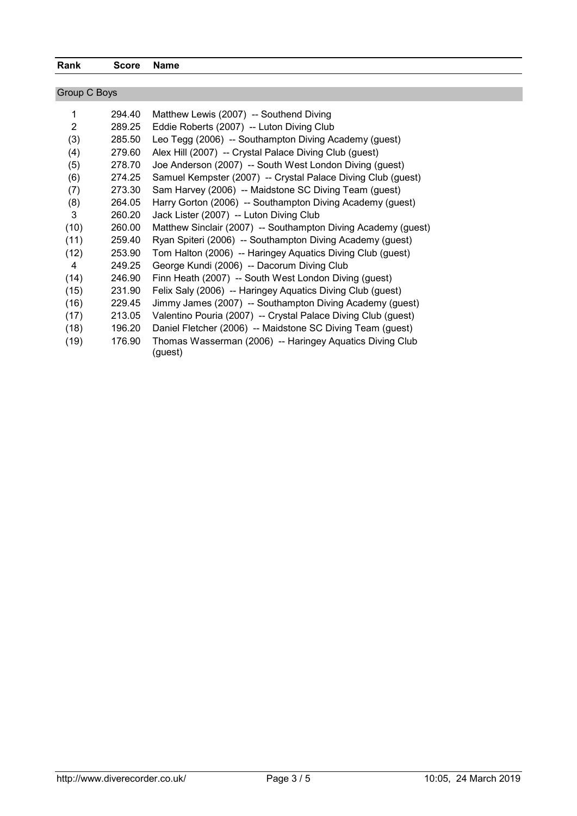### Rank Score Name

| Group C Boys |        |                                                                     |
|--------------|--------|---------------------------------------------------------------------|
| 1            | 294.40 | Matthew Lewis (2007) -- Southend Diving                             |
| 2            | 289.25 | Eddie Roberts (2007) -- Luton Diving Club                           |
| (3)          | 285.50 | Leo Tegg (2006) -- Southampton Diving Academy (guest)               |
| (4)          | 279.60 | Alex Hill (2007) -- Crystal Palace Diving Club (guest)              |
| (5)          | 278.70 | Joe Anderson (2007) -- South West London Diving (guest)             |
| (6)          | 274.25 | Samuel Kempster (2007) -- Crystal Palace Diving Club (guest)        |
| (7)          | 273.30 | Sam Harvey (2006) -- Maidstone SC Diving Team (guest)               |
| (8)          | 264.05 | Harry Gorton (2006) -- Southampton Diving Academy (guest)           |
| 3            | 260.20 | Jack Lister (2007) -- Luton Diving Club                             |
| (10)         | 260.00 | Matthew Sinclair (2007) -- Southampton Diving Academy (guest)       |
| (11)         | 259.40 | Ryan Spiteri (2006) -- Southampton Diving Academy (guest)           |
| (12)         | 253.90 | Tom Halton (2006) -- Haringey Aquatics Diving Club (guest)          |
| 4            | 249.25 | George Kundi (2006) -- Dacorum Diving Club                          |
| (14)         | 246.90 | Finn Heath (2007) -- South West London Diving (guest)               |
| (15)         | 231.90 | Felix Saly (2006) -- Haringey Aquatics Diving Club (guest)          |
| (16)         | 229.45 | Jimmy James (2007) -- Southampton Diving Academy (guest)            |
| (17)         | 213.05 | Valentino Pouria (2007) -- Crystal Palace Diving Club (guest)       |
| (18)         | 196.20 | Daniel Fletcher (2006) -- Maidstone SC Diving Team (guest)          |
| (19)         | 176.90 | Thomas Wasserman (2006) -- Haringey Aquatics Diving Club<br>(guest) |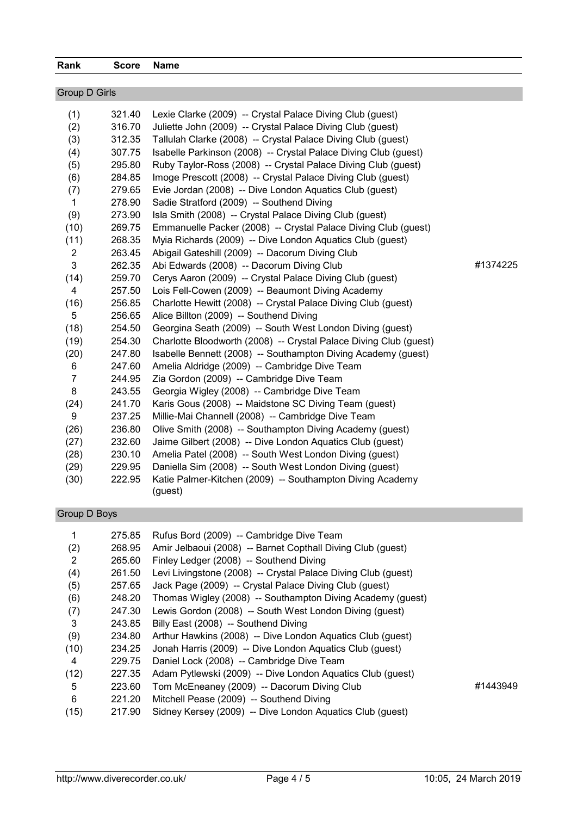| Rank          | Score Name |  |
|---------------|------------|--|
|               |            |  |
| Group D Girls |            |  |

| (1)            | 321.40 | Lexie Clarke (2009) -- Crystal Palace Diving Club (guest)         |          |
|----------------|--------|-------------------------------------------------------------------|----------|
| (2)            | 316.70 | Juliette John (2009) -- Crystal Palace Diving Club (guest)        |          |
| (3)            | 312.35 | Tallulah Clarke (2008) -- Crystal Palace Diving Club (guest)      |          |
| (4)            | 307.75 | Isabelle Parkinson (2008) -- Crystal Palace Diving Club (guest)   |          |
| (5)            | 295.80 | Ruby Taylor-Ross (2008) -- Crystal Palace Diving Club (guest)     |          |
| (6)            | 284.85 | Imoge Prescott (2008) -- Crystal Palace Diving Club (guest)       |          |
| (7)            | 279.65 | Evie Jordan (2008) -- Dive London Aquatics Club (guest)           |          |
| $\mathbf 1$    | 278.90 | Sadie Stratford (2009) -- Southend Diving                         |          |
| (9)            | 273.90 | Isla Smith (2008) -- Crystal Palace Diving Club (guest)           |          |
| (10)           | 269.75 | Emmanuelle Packer (2008) -- Crystal Palace Diving Club (guest)    |          |
| (11)           | 268.35 | Myia Richards (2009) -- Dive London Aquatics Club (guest)         |          |
| $\overline{c}$ | 263.45 | Abigail Gateshill (2009) -- Dacorum Diving Club                   |          |
| 3              | 262.35 | Abi Edwards (2008) -- Dacorum Diving Club                         | #1374225 |
| (14)           | 259.70 | Cerys Aaron (2009) -- Crystal Palace Diving Club (guest)          |          |
| 4              | 257.50 | Lois Fell-Cowen (2009) -- Beaumont Diving Academy                 |          |
| (16)           | 256.85 | Charlotte Hewitt (2008) -- Crystal Palace Diving Club (guest)     |          |
| 5              | 256.65 | Alice Billton (2009) -- Southend Diving                           |          |
| (18)           | 254.50 | Georgina Seath (2009) -- South West London Diving (guest)         |          |
| (19)           | 254.30 | Charlotte Bloodworth (2008) -- Crystal Palace Diving Club (guest) |          |
| (20)           | 247.80 | Isabelle Bennett (2008) -- Southampton Diving Academy (guest)     |          |
| 6              | 247.60 | Amelia Aldridge (2009) -- Cambridge Dive Team                     |          |
| $\overline{7}$ | 244.95 | Zia Gordon (2009) -- Cambridge Dive Team                          |          |
| 8              | 243.55 | Georgia Wigley (2008) -- Cambridge Dive Team                      |          |
| (24)           | 241.70 | Karis Gous (2008) -- Maidstone SC Diving Team (guest)             |          |
| 9              | 237.25 | Millie-Mai Channell (2008) -- Cambridge Dive Team                 |          |
| (26)           | 236.80 | Olive Smith (2008) -- Southampton Diving Academy (guest)          |          |
| (27)           | 232.60 | Jaime Gilbert (2008) -- Dive London Aquatics Club (guest)         |          |
| (28)           | 230.10 | Amelia Patel (2008) -- South West London Diving (guest)           |          |
| (29)           | 229.95 | Daniella Sim (2008) -- South West London Diving (guest)           |          |
| (30)           | 222.95 | Katie Palmer-Kitchen (2009) -- Southampton Diving Academy         |          |
|                |        | (guest)                                                           |          |

## Group D Boys

|      | 275.85 | Rufus Bord (2009) -- Cambridge Dive Team                      |          |
|------|--------|---------------------------------------------------------------|----------|
| (2)  | 268.95 | Amir Jelbaoui (2008) -- Barnet Copthall Diving Club (guest)   |          |
| 2    | 265.60 | Finley Ledger (2008) -- Southend Diving                       |          |
| (4)  | 261.50 | Levi Livingstone (2008) -- Crystal Palace Diving Club (quest) |          |
| (5)  | 257.65 | Jack Page (2009) -- Crystal Palace Diving Club (guest)        |          |
| (6)  | 248.20 | Thomas Wigley (2008) -- Southampton Diving Academy (guest)    |          |
| (7)  | 247.30 | Lewis Gordon (2008) -- South West London Diving (guest)       |          |
| 3    | 243.85 | Billy East (2008) -- Southend Diving                          |          |
| (9)  | 234.80 | Arthur Hawkins (2008) -- Dive London Aquatics Club (guest)    |          |
| (10) | 234.25 | Jonah Harris (2009) -- Dive London Aquatics Club (guest)      |          |
| 4    | 229.75 | Daniel Lock (2008) -- Cambridge Dive Team                     |          |
| (12) | 227.35 | Adam Pytlewski (2009) -- Dive London Aquatics Club (quest)    |          |
| 5    | 223.60 | Tom McEneaney (2009) -- Dacorum Diving Club                   | #1443949 |
| 6    | 221.20 | Mitchell Pease (2009) -- Southend Diving                      |          |
| (15) | 217.90 | Sidney Kersey (2009) -- Dive London Aquatics Club (guest)     |          |
|      |        |                                                               |          |